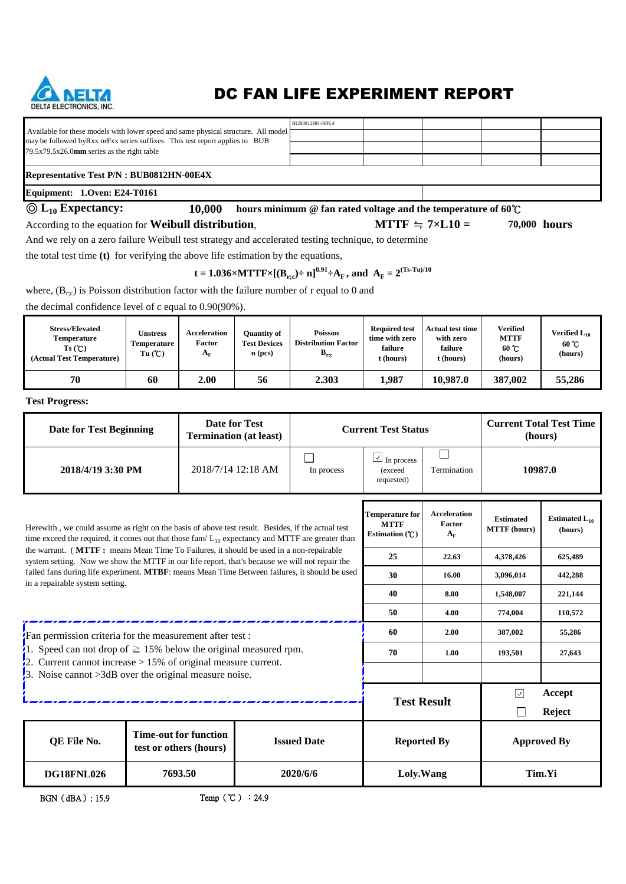

## DC FAN LIFE EXPERIMENT REPORT

**MTTF**  $\div$  7×**L10** =

|                                                                                                                                                                      | BUB0812HN-00FL4 |  |  |  |  |  |  |  |
|----------------------------------------------------------------------------------------------------------------------------------------------------------------------|-----------------|--|--|--|--|--|--|--|
| Available for these models with lower speed and same physical structure. All model<br>may be followed by Rxx or Fxx series suffixes. This test report applies to BUB |                 |  |  |  |  |  |  |  |
| $79.5x79.5x26.0$ mm series as the right table                                                                                                                        |                 |  |  |  |  |  |  |  |
|                                                                                                                                                                      |                 |  |  |  |  |  |  |  |
| <b>Representative Test P/N : BUB0812HN-00E4X</b>                                                                                                                     |                 |  |  |  |  |  |  |  |

### **Equipment: 1.Oven: E24-T0161**

#### ◎ **L10 Expectancy:**

**10,000 hours minimum @ fan rated voltage and the temperature of 60**℃

According to the equation for **Weibull distribution**, *MTTF*  $\div$  7×L10 = 70,000 **hours** 

And we rely on a zero failure Weibull test strategy and accelerated testing technique, to determine

the total test time **(t)** for verifying the above life estimation by the equations,

**t** = 1.036×MTTF×[ $(B_{r;c})$ ÷ n]<sup>0.91</sup>÷A<sub>F</sub>, and A<sub>F</sub> = 2<sup>(Ts-Tu)/10</sup>

where,  $(B_{r,c})$  is Poisson distribution factor with the failure number of r equal to 0 and

the decimal confidence level of c equal to 0.90(90%).

| <b>Stress/Elevated</b><br>Temperature<br>Ts(C)<br>(Actual Test Temperature) | <b>Unstress</b><br>Temperature<br>Tu(C) | Acceleration<br>Factor<br>$A_{\rm F}$ | <b>Ouantity of</b><br><b>Test Devices</b><br>$n$ (pcs) | <b>Poisson</b><br><b>Distribution Factor</b><br>$B_{r,c}$ | <b>Required test</b><br>time with zero<br>failure<br>t (hours) | <b>Actual test time</b><br>with zero<br>failure<br>t (hours) | Verified<br><b>MTTF</b><br>60 °C<br>(hours) | Verified L <sub>10</sub><br>$60^{\circ}$ C<br>(hours) |
|-----------------------------------------------------------------------------|-----------------------------------------|---------------------------------------|--------------------------------------------------------|-----------------------------------------------------------|----------------------------------------------------------------|--------------------------------------------------------------|---------------------------------------------|-------------------------------------------------------|
| 70                                                                          | 60                                      | 2.00                                  | 56                                                     | 2.303                                                     | 1,987                                                          | 10.987.0                                                     | 387,002                                     | 55,286                                                |

**Test Progress:**

| <b>Date for Test</b><br><b>Date for Test Beginning</b><br><b>Termination (at least)</b>                                                                                                                    |                                                  |             |         |  | <b>Current Test Status</b>                                |                                              | <b>Current Total Test Time</b><br>(hours) |                               |
|------------------------------------------------------------------------------------------------------------------------------------------------------------------------------------------------------------|--------------------------------------------------|-------------|---------|--|-----------------------------------------------------------|----------------------------------------------|-------------------------------------------|-------------------------------|
| 2018/4/19 3:30 PM                                                                                                                                                                                          | $\sqrt{}$<br>In process<br>(exceed<br>requested) | Termination | 10987.0 |  |                                                           |                                              |                                           |                               |
| Herewith, we could assume as right on the basis of above test result. Besides, if the actual test<br>time exceed the required, it comes out that those fans' $L_{10}$ expectancy and MTTF are greater than |                                                  |             |         |  | <b>Temperature for</b><br><b>MTTF</b><br>Estimation $(C)$ | <b>Acceleration</b><br>Factor<br>$A_{\rm F}$ | <b>Estimated</b><br><b>MTTF</b> (hours)   | Estimated $L_{10}$<br>(hours) |
| the warrant. (MTTF: means Mean Time To Failures, it should be used in a non-repairable<br>system setting. Now we show the MTTF in our life report, that's because we will not repair the                   |                                                  |             |         |  | 25                                                        | 22.63                                        | 4,378,426                                 | 625,489                       |
| failed fans during life experiment. MTBF: means Mean Time Between failures, it should be used<br>in a repairable system setting.                                                                           |                                                  |             |         |  | 30                                                        | 16.00                                        | 3,096,014                                 | 442,288                       |
|                                                                                                                                                                                                            |                                                  |             |         |  | 40                                                        | 8.00                                         | 1,548,007                                 | 221,144                       |
|                                                                                                                                                                                                            |                                                  |             |         |  | 50                                                        | 4.00                                         | 774,004                                   | 110,572                       |
| Fan permission criteria for the measurement after test:                                                                                                                                                    |                                                  |             |         |  | 60                                                        | 2.00                                         | 387,002                                   | 55,286                        |
| 1. Speed can not drop of $\geq$ 15% below the original measured rpm.                                                                                                                                       |                                                  |             |         |  | 70                                                        | 1.00                                         | 193,501                                   | 27,643                        |
| $\frac{1}{2}$ . Current cannot increase > 15% of original measure current.<br>3. Noise cannot $>3dB$ over the original measure noise.                                                                      |                                                  |             |         |  |                                                           |                                              |                                           |                               |
|                                                                                                                                                                                                            |                                                  |             |         |  |                                                           |                                              | $ \mathcal{A} $                           | Accept                        |
|                                                                                                                                                                                                            |                                                  |             |         |  | <b>Test Result</b>                                        |                                              |                                           | <b>Reject</b>                 |
| <b>Time-out for function</b><br><b>Issued Date</b><br>QE File No.<br>test or others (hours)                                                                                                                |                                                  |             |         |  | <b>Reported By</b>                                        |                                              | <b>Approved By</b>                        |                               |
| Tim.Yi<br>7693.50<br>2020/6/6<br>Loly.Wang<br><b>DG18FNL026</b>                                                                                                                                            |                                                  |             |         |  |                                                           |                                              |                                           |                               |

BGN(dBA): 15.9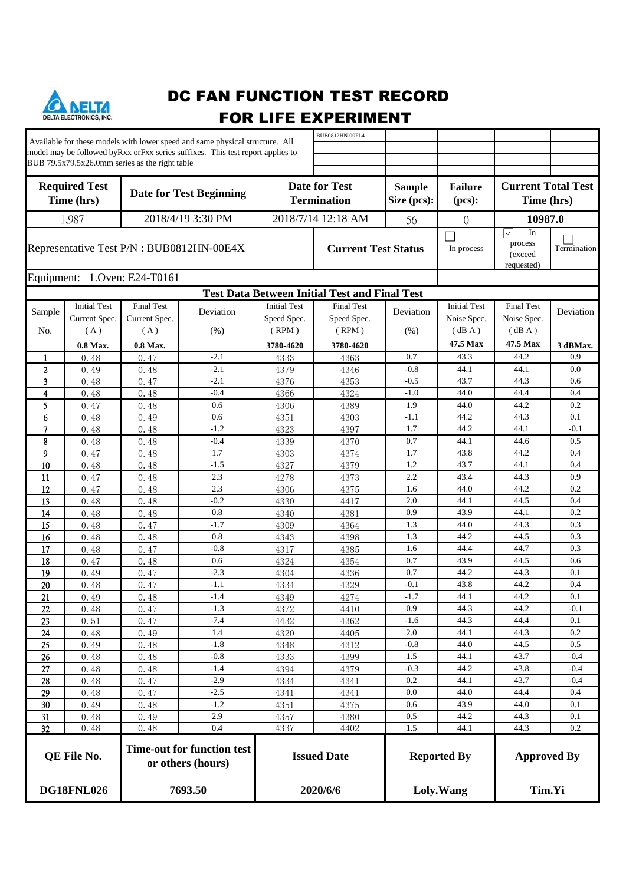

# DC FAN FUNCTION TEST RECORD FOR LIFE EXPERIMENT

|                            |                              |                                                | Available for these models with lower speed and same physical structure. All   |                     | BUB0812HN-00FL4                                      |                    |                         |                                                   |             |
|----------------------------|------------------------------|------------------------------------------------|--------------------------------------------------------------------------------|---------------------|------------------------------------------------------|--------------------|-------------------------|---------------------------------------------------|-------------|
|                            |                              |                                                | model may be followed byRxx orFxx series suffixes. This test report applies to |                     |                                                      |                    |                         |                                                   |             |
|                            |                              | BUB 79.5x79.5x26.0mm series as the right table |                                                                                |                     |                                                      |                    |                         |                                                   |             |
|                            |                              |                                                |                                                                                |                     |                                                      |                    |                         |                                                   |             |
|                            | <b>Required Test</b>         |                                                |                                                                                |                     | <b>Date for Test</b>                                 | <b>Sample</b>      | <b>Failure</b>          | <b>Current Total Test</b>                         |             |
| Time (hrs)                 |                              | <b>Date for Test Beginning</b>                 |                                                                                |                     | <b>Termination</b>                                   | Size (pcs):        | (pcs):                  |                                                   |             |
|                            |                              |                                                |                                                                                |                     |                                                      | Time (hrs)         |                         |                                                   |             |
| 2018/4/19 3:30 PM<br>1,987 |                              |                                                |                                                                                | 2018/7/14 12:18 AM  | 56                                                   | $\theta$           | 10987.0                 |                                                   |             |
|                            |                              |                                                |                                                                                |                     |                                                      |                    |                         | $ \hspace{.06cm}\backslash \hspace{.06cm} $<br>In |             |
|                            |                              |                                                | Representative Test P/N : BUB0812HN-00E4X                                      |                     | <b>Current Test Status</b>                           |                    | In process              | process                                           | Termination |
|                            |                              |                                                |                                                                                |                     |                                                      |                    |                         | (exceed                                           |             |
|                            |                              |                                                |                                                                                |                     |                                                      |                    |                         | requested)                                        |             |
|                            |                              | Equipment: 1.Oven: E24-T0161                   |                                                                                |                     |                                                      |                    |                         |                                                   |             |
|                            |                              |                                                |                                                                                |                     | <b>Test Data Between Initial Test and Final Test</b> |                    |                         |                                                   |             |
|                            | <b>Initial Test</b>          | <b>Final Test</b>                              |                                                                                | <b>Initial Test</b> | <b>Final Test</b>                                    |                    | <b>Initial Test</b>     | <b>Final Test</b>                                 |             |
| Sample                     | Current Spec.                | Current Spec.                                  | Deviation                                                                      | Speed Spec.         | Speed Spec.                                          | Deviation          | Noise Spec.             | Noise Spec.                                       | Deviation   |
| No.                        | (A)                          | (A)                                            | (%)                                                                            | (RPM)               | (RPM)                                                | (% )               | $(\, \mathrm{dB\;A}\,)$ | (dBA)                                             |             |
|                            | 0.8 Max.                     | 0.8 Max.                                       |                                                                                | 3780-4620           | 3780-4620                                            |                    | 47.5 Max                | 47.5 Max                                          | 3 dBMax.    |
|                            |                              | 0.47                                           | $-2.1$                                                                         |                     |                                                      | 0.7                | 43.3                    | 44.2                                              | 0.9         |
| -1<br>$\mathbf{2}$         | 0.48                         |                                                | $-2.1$                                                                         | 4333                | 4363                                                 | $-0.8$             | 44.1                    | 44.1                                              | 0.0         |
| 3                          | 0.49<br>0.48                 | 0.48<br>0.47                                   | $-2.1$                                                                         | 4379<br>4376        | 4346<br>4353                                         | $-0.5$             | 43.7                    | 44.3                                              | 0.6         |
| $\overline{4}$             | 0.48                         | 0.48                                           | $-0.4$                                                                         | 4366                | 4324                                                 | $-1.0$             | 44.0                    | 44.4                                              | 0.4         |
| 5                          |                              | 0.48                                           | 0.6                                                                            |                     | 4389                                                 | 1.9                | 44.0                    | 44.2                                              | 0.2         |
| 6                          | 0.47<br>0.48                 | 0.49                                           | 0.6                                                                            | 4306<br>4351        | 4303                                                 | $-1.1$             | 44.2                    | 44.3                                              | 0.1         |
|                            |                              |                                                | $-1.2$                                                                         |                     |                                                      | 1.7                | 44.2                    | 44.1                                              | $-0.1$      |
| 7                          | 0.48                         | 0.48                                           | $-0.4$                                                                         | 4323                | 4397                                                 | 0.7                | 44.1                    | 44.6                                              | 0.5         |
| 8                          | 0.48                         | 0.48                                           | 1.7                                                                            | 4339                | 4370                                                 | 1.7                | 43.8                    | 44.2                                              | 0.4         |
| 9                          | 0.47                         | 0.48                                           | $-1.5$                                                                         | 4303                | 4374                                                 | 1.2                | 43.7                    | 44.1                                              | 0.4         |
| 10                         | 0.48                         | 0.48                                           | 2.3                                                                            | 4327                | 4379                                                 | 2.2                | 43.4                    | 44.3                                              | 0.9         |
| 11                         | 0.47                         | 0.48                                           | 2.3                                                                            | 4278                | 4373                                                 | 1.6                | 44.0                    | 44.2                                              | 0.2         |
| 12                         | 0.47                         | 0.48                                           | $-0.2$                                                                         | 4306                | 4375                                                 |                    | 44.1                    |                                                   | 0.4         |
| 13                         | 0.48                         | 0.48                                           | 0.8                                                                            | 4330                | 4417                                                 | 2.0<br>0.9         | 43.9                    | 44.5<br>44.1                                      | 0.2         |
| 14                         | 0.48                         | 0.48                                           | $-1.7$                                                                         | 4340                | 4381                                                 |                    |                         |                                                   | 0.3         |
| 15                         | 0.48                         | 0.47                                           | 0.8                                                                            | 4309                | 4364                                                 | 1.3<br>1.3         | 44.0<br>44.2            | 44.3<br>44.5                                      | 0.3         |
| 16                         | 0.48                         | 0.48                                           | $-0.8$                                                                         | 4343                | 4398                                                 | 1.6                | 44.4                    | 44.7                                              | 0.3         |
| 17                         | 0.48                         | 0.47                                           |                                                                                | 4317                | 4385                                                 |                    | 43.9                    |                                                   |             |
| 18                         | 0.47                         | 0.48                                           | 0.6<br>$-2.3$                                                                  | 4324                | 4354                                                 | 0.7<br>0.7         | 44.2                    | 44.5<br>44.3                                      | 0.6<br>0.1  |
| 19                         | 0.49                         | 0.47                                           |                                                                                | 4304                | 4336                                                 |                    |                         |                                                   |             |
| 20                         | 0.48                         | 0.47                                           | $-1.1$                                                                         | 4334                | 4329                                                 | $-0.1$             | 43.8                    | 44.2                                              | 0.4         |
| 21                         | 0.49                         | 0.48                                           | $-1.4$                                                                         | 4349                | 4274                                                 | $-1.7$             | 44.1                    | 44.2                                              | 0.1         |
| $22\,$                     | 0.48                         | 0.47                                           | $-1.3$                                                                         | 4372                | 4410                                                 | 0.9                | 44.3                    | 44.2                                              | $-0.1$      |
| 23                         | 0.51                         | 0.47                                           | $-7.4$                                                                         | 4432                | 4362                                                 | $-1.6$             | 44.3                    | 44.4                                              | 0.1         |
| 24                         | 0.48                         | 0.49                                           | 1.4                                                                            | 4320                | 4405                                                 | 2.0                | 44.1                    | 44.3                                              | 0.2         |
| 25                         | 0.49                         | 0.48                                           | $-1.8$                                                                         | 4348                | 4312                                                 | $-0.8$             | 44.0                    | 44.5                                              | 0.5         |
| 26                         | 0.48                         | 0.48                                           | $-0.8$                                                                         | 4333                | 4399                                                 | 1.5                | 44.1                    | 43.7                                              | $-0.4$      |
| 27                         | 0.48                         | 0.48                                           | $-1.4$                                                                         | 4394                | 4379                                                 | $-0.3$             | 44.2                    | 43.8                                              | $-0.4$      |
| 28                         | 0.48                         | 0.47                                           | $-2.9$                                                                         | 4334                | 4341                                                 | 0.2                | 44.1                    | 43.7                                              | $-0.4$      |
| 29                         | 0.48                         | 0.47                                           | $-2.5$                                                                         | 4341                | 4341                                                 | 0.0                | 44.0                    | 44.4                                              | 0.4         |
| $30\,$                     | 0.49                         | 0.48                                           | $-1.2$                                                                         | 4351                | 4375                                                 | 0.6                | 43.9                    | 44.0                                              | 0.1         |
| 31                         | 0.48                         | 0.49                                           | 2.9                                                                            | 4357                | 4380                                                 | 0.5                | 44.2                    | 44.3                                              | 0.1         |
| 32                         | 0.48                         | 0.48                                           | 0.4                                                                            | 4337                | 4402                                                 | 1.5                | 44.1                    | 44.3                                              | 0.2         |
|                            | QE File No.                  |                                                | <b>Time-out for function test</b><br>or others (hours)                         |                     | <b>Issued Date</b>                                   | <b>Reported By</b> |                         | <b>Approved By</b>                                |             |
|                            | <b>DG18FNL026</b><br>7693.50 |                                                | 2020/6/6                                                                       |                     |                                                      | Loly.Wang          | Tim.Yi                  |                                                   |             |